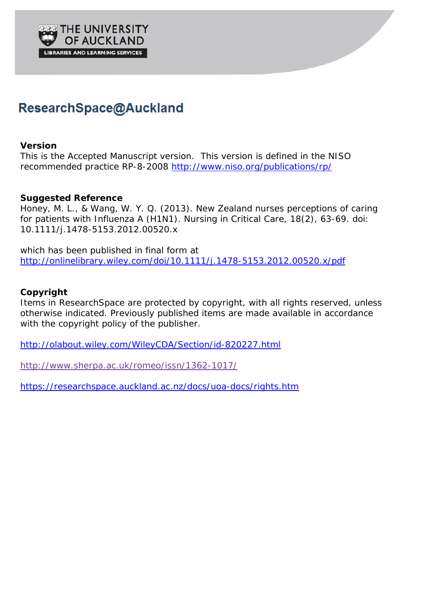

# ResearchSpace@Auckland

## **Version**

This is the Accepted Manuscript version. This version is defined in the NISO recommended practice RP-8-2008<http://www.niso.org/publications/rp/>

## **Suggested Reference**

Honey, M. L., & Wang, W. Y. Q. (2013). New Zealand nurses perceptions of caring for patients with Influenza A (H1N1). *Nursing in Critical Care*, *18*(2), 63-69. doi: 10.1111/j.1478-5153.2012.00520.x

which has been published in final form at <http://onlinelibrary.wiley.com/doi/10.1111/j.1478-5153.2012.00520.x/pdf>

## **Copyright**

Items in ResearchSpace are protected by copyright, with all rights reserved, unless otherwise indicated. Previously published items are made available in accordance with the copyright policy of the publisher.

<http://olabout.wiley.com/WileyCDA/Section/id-820227.html>

<http://www.sherpa.ac.uk/romeo/issn/1362-1017/>

<https://researchspace.auckland.ac.nz/docs/uoa-docs/rights.htm>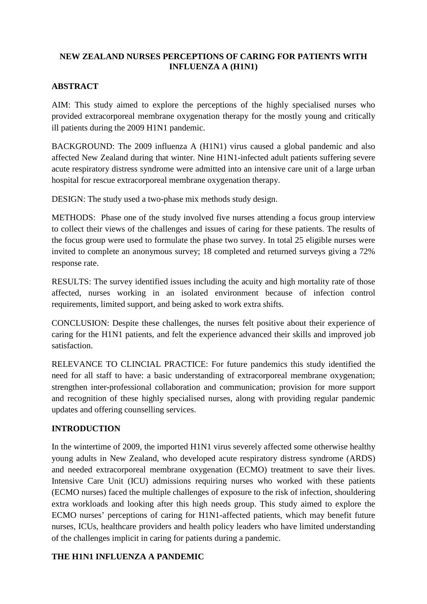## **NEW ZEALAND NURSES PERCEPTIONS OF CARING FOR PATIENTS WITH INFLUENZA A (H1N1)**

## **ABSTRACT**

AIM: This study aimed to explore the perceptions of the highly specialised nurses who provided extracorporeal membrane oxygenation therapy for the mostly young and critically ill patients during the 2009 H1N1 pandemic.

BACKGROUND: The 2009 influenza A (H1N1) virus caused a global pandemic and also affected New Zealand during that winter. Nine H1N1-infected adult patients suffering severe acute respiratory distress syndrome were admitted into an intensive care unit of a large urban hospital for rescue extracorporeal membrane oxygenation therapy.

DESIGN: The study used a two-phase mix methods study design.

METHODS: Phase one of the study involved five nurses attending a focus group interview to collect their views of the challenges and issues of caring for these patients. The results of the focus group were used to formulate the phase two survey. In total 25 eligible nurses were invited to complete an anonymous survey; 18 completed and returned surveys giving a 72% response rate.

RESULTS: The survey identified issues including the acuity and high mortality rate of those affected, nurses working in an isolated environment because of infection control requirements, limited support, and being asked to work extra shifts.

CONCLUSION: Despite these challenges, the nurses felt positive about their experience of caring for the H1N1 patients, and felt the experience advanced their skills and improved job satisfaction.

RELEVANCE TO CLINCIAL PRACTICE: For future pandemics this study identified the need for all staff to have: a basic understanding of extracorporeal membrane oxygenation; strengthen inter-professional collaboration and communication; provision for more support and recognition of these highly specialised nurses, along with providing regular pandemic updates and offering counselling services.

## **INTRODUCTION**

In the wintertime of 2009, the imported H1N1 virus severely affected some otherwise healthy young adults in New Zealand, who developed acute respiratory distress syndrome (ARDS) and needed extracorporeal membrane oxygenation (ECMO) treatment to save their lives. Intensive Care Unit (ICU) admissions requiring nurses who worked with these patients (ECMO nurses) faced the multiple challenges of exposure to the risk of infection, shouldering extra workloads and looking after this high needs group. This study aimed to explore the ECMO nurses' perceptions of caring for H1N1-affected patients, which may benefit future nurses, ICUs, healthcare providers and health policy leaders who have limited understanding of the challenges implicit in caring for patients during a pandemic.

## **THE H1N1 INFLUENZA A PANDEMIC**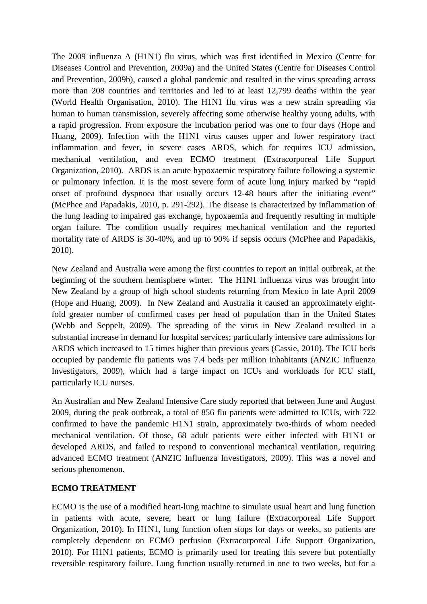The 2009 influenza A (H1N1) flu virus, which was first identified in Mexico (Centre for Diseases Control and Prevention, 2009a) and the United States (Centre for Diseases Control and Prevention, 2009b), caused a global pandemic and resulted in the virus spreading across more than 208 countries and territories and led to at least 12,799 deaths within the year (World Health Organisation, 2010). The H1N1 flu virus was a new strain spreading via human to human transmission, severely affecting some otherwise healthy young adults, with a rapid progression. From exposure the incubation period was one to four days (Hope and Huang, 2009). Infection with the H1N1 virus causes upper and lower respiratory tract inflammation and fever, in severe cases ARDS, which for requires ICU admission, mechanical ventilation, and even ECMO treatment (Extracorporeal Life Support Organization, 2010). ARDS is an acute hypoxaemic respiratory failure following a systemic or pulmonary infection. It is the most severe form of acute lung injury marked by "rapid onset of profound dyspnoea that usually occurs 12-48 hours after the initiating event" (McPhee and Papadakis, 2010, p. 291-292). The disease is characterized by inflammation of the lung leading to impaired gas exchange, hypoxaemia and frequently resulting in multiple organ failure. The condition usually requires mechanical ventilation and the reported mortality rate of ARDS is 30-40%, and up to 90% if sepsis occurs (McPhee and Papadakis, 2010).

New Zealand and Australia were among the first countries to report an initial outbreak, at the beginning of the southern hemisphere winter. The H1N1 influenza virus was brought into New Zealand by a group of high school students returning from Mexico in late April 2009 (Hope and Huang, 2009). In New Zealand and Australia it caused an approximately eightfold greater number of confirmed cases per head of population than in the United States (Webb and Seppelt, 2009). The spreading of the virus in New Zealand resulted in a substantial increase in demand for hospital services; particularly intensive care admissions for ARDS which increased to 15 times higher than previous years (Cassie, 2010). The ICU beds occupied by pandemic flu patients was 7.4 beds per million inhabitants (ANZIC Influenza Investigators, 2009), which had a large impact on ICUs and workloads for ICU staff, particularly ICU nurses.

An Australian and New Zealand Intensive Care study reported that between June and August 2009, during the peak outbreak, a total of 856 flu patients were admitted to ICUs, with 722 confirmed to have the pandemic H1N1 strain, approximately two-thirds of whom needed mechanical ventilation. Of those, 68 adult patients were either infected with H1N1 or developed ARDS, and failed to respond to conventional mechanical ventilation, requiring advanced ECMO treatment (ANZIC Influenza Investigators, 2009). This was a novel and serious phenomenon.

#### **ECMO TREATMENT**

ECMO is the use of a modified heart-lung machine to simulate usual heart and lung function in patients with acute, severe, heart or lung failure (Extracorporeal Life Support Organization, 2010). In H1N1, lung function often stops for days or weeks, so patients are completely dependent on ECMO perfusion (Extracorporeal Life Support Organization, 2010). For H1N1 patients, ECMO is primarily used for treating this severe but potentially reversible respiratory failure. Lung function usually returned in one to two weeks, but for a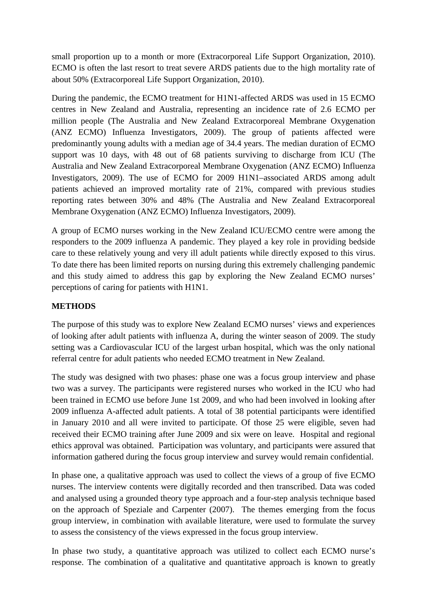small proportion up to a month or more (Extracorporeal Life Support Organization, 2010). ECMO is often the last resort to treat severe ARDS patients due to the high mortality rate of about 50% (Extracorporeal Life Support Organization, 2010).

During the pandemic, the ECMO treatment for H1N1-affected ARDS was used in 15 ECMO centres in New Zealand and Australia, representing an incidence rate of 2.6 ECMO per million people (The Australia and New Zealand Extracorporeal Membrane Oxygenation (ANZ ECMO) Influenza Investigators, 2009). The group of patients affected were predominantly young adults with a median age of 34.4 years. The median duration of ECMO support was 10 days, with 48 out of 68 patients surviving to discharge from ICU (The Australia and New Zealand Extracorporeal Membrane Oxygenation (ANZ ECMO) Influenza Investigators, 2009). The use of ECMO for 2009 H1N1–associated ARDS among adult patients achieved an improved mortality rate of 21%, compared with previous studies reporting rates between 30% and 48% (The Australia and New Zealand Extracorporeal Membrane Oxygenation (ANZ ECMO) Influenza Investigators, 2009).

A group of ECMO nurses working in the New Zealand ICU/ECMO centre were among the responders to the 2009 influenza A pandemic. They played a key role in providing bedside care to these relatively young and very ill adult patients while directly exposed to this virus. To date there has been limited reports on nursing during this extremely challenging pandemic and this study aimed to address this gap by exploring the New Zealand ECMO nurses' perceptions of caring for patients with H1N1.

## **METHODS**

The purpose of this study was to explore New Zealand ECMO nurses' views and experiences of looking after adult patients with influenza A, during the winter season of 2009. The study setting was a Cardiovascular ICU of the largest urban hospital, which was the only national referral centre for adult patients who needed ECMO treatment in New Zealand.

The study was designed with two phases: phase one was a focus group interview and phase two was a survey. The participants were registered nurses who worked in the ICU who had been trained in ECMO use before June 1st 2009, and who had been involved in looking after 2009 influenza A-affected adult patients. A total of 38 potential participants were identified in January 2010 and all were invited to participate. Of those 25 were eligible, seven had received their ECMO training after June 2009 and six were on leave. Hospital and regional ethics approval was obtained. Participation was voluntary, and participants were assured that information gathered during the focus group interview and survey would remain confidential.

In phase one, a qualitative approach was used to collect the views of a group of five ECMO nurses. The interview contents were digitally recorded and then transcribed. Data was coded and analysed using a grounded theory type approach and a four-step analysis technique based on the approach of Speziale and Carpenter (2007). The themes emerging from the focus group interview, in combination with available literature, were used to formulate the survey to assess the consistency of the views expressed in the focus group interview.

In phase two study, a quantitative approach was utilized to collect each ECMO nurse's response. The combination of a qualitative and quantitative approach is known to greatly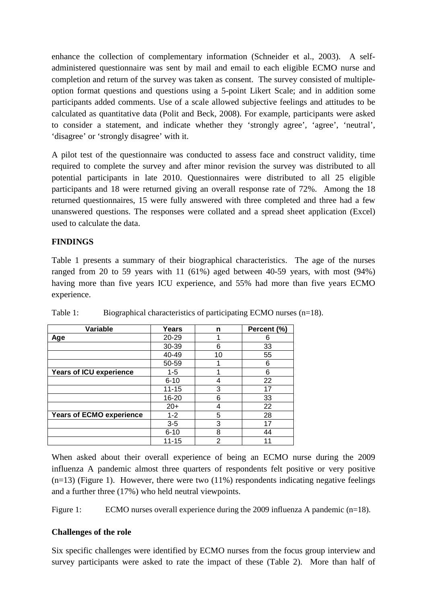enhance the collection of complementary information (Schneider et al., 2003). A selfadministered questionnaire was sent by mail and email to each eligible ECMO nurse and completion and return of the survey was taken as consent. The survey consisted of multipleoption format questions and questions using a 5-point Likert Scale; and in addition some participants added comments. Use of a scale allowed subjective feelings and attitudes to be calculated as quantitative data (Polit and Beck, 2008). For example, participants were asked to consider a statement, and indicate whether they 'strongly agree', 'agree', 'neutral', 'disagree' or 'strongly disagree' with it.

A pilot test of the questionnaire was conducted to assess face and construct validity, time required to complete the survey and after minor revision the survey was distributed to all potential participants in late 2010. Questionnaires were distributed to all 25 eligible participants and 18 were returned giving an overall response rate of 72%. Among the 18 returned questionnaires, 15 were fully answered with three completed and three had a few unanswered questions. The responses were collated and a spread sheet application (Excel) used to calculate the data.

#### **FINDINGS**

Table 1 presents a summary of their biographical characteristics. The age of the nurses ranged from 20 to 59 years with 11 (61%) aged between 40-59 years, with most (94%) having more than five years ICU experience, and 55% had more than five years ECMO experience.

| Variable                        | Years     | n              | Percent (%) |
|---------------------------------|-----------|----------------|-------------|
| Age                             | 20-29     |                | 6           |
|                                 | 30-39     | 6              | 33          |
|                                 | 40-49     | 10             | 55          |
|                                 | 50-59     |                | 6           |
| <b>Years of ICU experience</b>  | $1 - 5$   |                | 6           |
|                                 | $6 - 10$  | 4              | 22          |
|                                 | $11 - 15$ | 3              | 17          |
|                                 | 16-20     | 6              | 33          |
|                                 | $20+$     | 4              | 22          |
| <b>Years of ECMO experience</b> | $1 - 2$   | 5              | 28          |
|                                 | $3 - 5$   | 3              | 17          |
|                                 | $6 - 10$  | 8              | 44          |
|                                 | $11 - 15$ | $\overline{2}$ | 11          |

Table 1: Biographical characteristics of participating ECMO nurses (n=18).

When asked about their overall experience of being an ECMO nurse during the 2009 influenza A pandemic almost three quarters of respondents felt positive or very positive  $(n=13)$  (Figure 1). However, there were two  $(11\%)$  respondents indicating negative feelings and a further three (17%) who held neutral viewpoints.

Figure 1: ECMO nurses overall experience during the 2009 influenza A pandemic (n=18).

#### **Challenges of the role**

Six specific challenges were identified by ECMO nurses from the focus group interview and survey participants were asked to rate the impact of these (Table 2). More than half of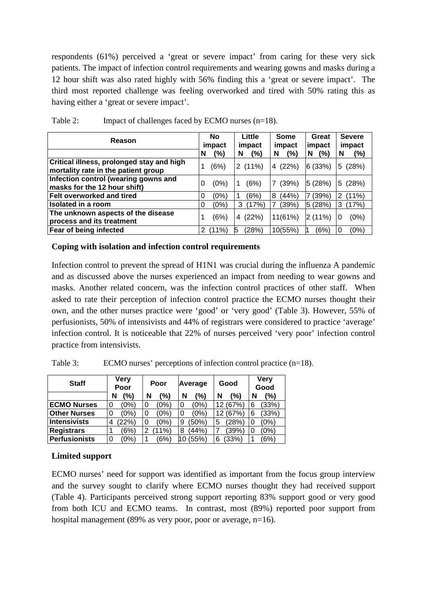respondents (61%) perceived a 'great or severe impact' from caring for these very sick patients. The impact of infection control requirements and wearing gowns and masks during a 12 hour shift was also rated highly with 56% finding this a 'great or severe impact'. The third most reported challenge was feeling overworked and tired with 50% rating this as having either a 'great or severe impact'.

| Reason                                                                                  | <b>No</b><br>impact |          | Little<br>impact |          | <b>Some</b><br>impact |         | Great<br>impact |        | <b>Severe</b><br>impact |          |
|-----------------------------------------------------------------------------------------|---------------------|----------|------------------|----------|-----------------------|---------|-----------------|--------|-------------------------|----------|
|                                                                                         | N                   | (%)      | N                | (%)      | N                     | (%)     | N               | (%)    | N                       | (%)      |
| <b>Critical illness, prolonged stay and high</b><br>mortality rate in the patient group |                     | (6%)     | $\mathbf{2}$     | $(11\%)$ | 4                     | (22%)   |                 | 6(33%) | 5                       | (28%)    |
| Infection control (wearing gowns and<br>masks for the 12 hour shift)                    | 0                   | (0%)     |                  | (6%)     |                       | (39%)   |                 | 5(28%) | 5                       | (28%)    |
| <b>Felt overworked and tired</b>                                                        | $\Omega$            | (0%)     |                  | (6%)     | 8                     | (44%)   |                 | (39%)  | 2                       | $(11\%)$ |
| <b>Isolated in a room</b>                                                               | 0                   | (0%)     | 3                | (17%)    | 7                     | (39%)   |                 | 5(28%) | 3                       | (17%)    |
| The unknown aspects of the disease<br>process and its treatment                         |                     | (6%)     | 4                | (22%)    |                       | 11(61%) |                 | 2(11%) |                         | (0%)     |
| Fear of being infected                                                                  |                     | $(11\%)$ | 5                | (28%)    |                       | 10(55%) |                 | (6%)   |                         | (0%)     |

Table 2: Impact of challenges faced by ECMO nurses (n=18).

#### **Coping with isolation and infection control requirements**

Infection control to prevent the spread of H1N1 was crucial during the influenza A pandemic and as discussed above the nurses experienced an impact from needing to wear gowns and masks. Another related concern, was the infection control practices of other staff. When asked to rate their perception of infection control practice the ECMO nurses thought their own, and the other nurses practice were 'good' or 'very good' (Table 3). However, 55% of perfusionists, 50% of intensivists and 44% of registrars were considered to practice 'average' infection control. It is noticeable that 22% of nurses perceived 'very poor' infection control practice from intensivists.

| Table 3:<br>ECMO nurses' perceptions of infection control practice $(n=18)$ . |  |  |
|-------------------------------------------------------------------------------|--|--|
|-------------------------------------------------------------------------------|--|--|

| <b>Staff</b>         | <b>Very</b><br>Poor | Poor        | Average     | Good       | <b>Very</b><br>Good |  |  |
|----------------------|---------------------|-------------|-------------|------------|---------------------|--|--|
|                      | (%)                 | (%)         | (%)         | (%)        | (%)                 |  |  |
|                      | N                   | N           | N           | N          | N                   |  |  |
| <b>ECMO Nurses</b>   | (0%)                | (0%)        | (0%)        | (67%)      | (33%)               |  |  |
|                      | 0                   | 0           | 0           | 12         | 6                   |  |  |
| <b>Other Nurses</b>  | (0%)                | (0%)        | (0%)        | (67%)      | (33%)               |  |  |
|                      | 0                   | 0           | 0           | $12 \,$    | 6                   |  |  |
| <b>Intensivists</b>  | 22%                 | (0%)        | (50%)       | (28%)      | (0%)                |  |  |
|                      | 4                   | 0           | 9           | 5          | 0                   |  |  |
| <b>Registrars</b>    | 6%)                 | $11\%$<br>2 | (44%)<br>8  | (39%)      | (0%)<br>0           |  |  |
| <b>Perfusionists</b> | (0%)<br>0           | (6%         | (55%)<br>10 | (33%)<br>6 | (6%)                |  |  |

#### **Limited support**

ECMO nurses' need for support was identified as important from the focus group interview and the survey sought to clarify where ECMO nurses thought they had received support (Table 4). Participants perceived strong support reporting 83% support good or very good from both ICU and ECMO teams. In contrast, most (89%) reported poor support from hospital management (89% as very poor, poor or average, n=16).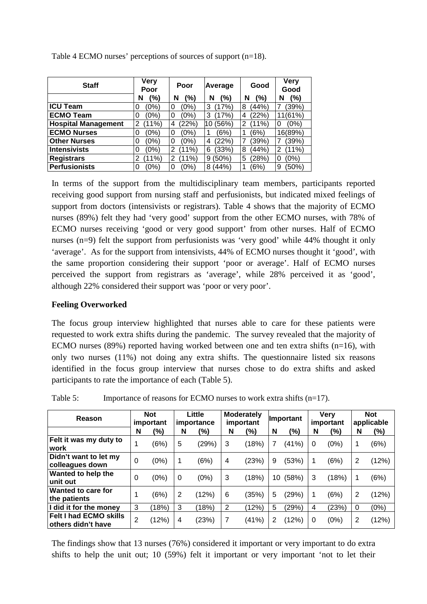Table 4 ECMO nurses' perceptions of sources of support (n=18).

| <b>Staff</b>               | <b>Very</b><br>Poor | Poor          | Average     | Good       | <b>Very</b><br>Good |
|----------------------------|---------------------|---------------|-------------|------------|---------------------|
|                            | (%)<br>N            | (%)<br>N      | (%)<br>N    | (%)<br>N   | $(\%)$<br>N         |
| <b>ICU Team</b>            | (0%)<br>0           | (0%)<br>0     | (17%)<br>3  | (44%)<br>8 | (39%)               |
| <b>ECMO Team</b>           | (0%)<br>0           | (0%)<br>0     | (17%)<br>3  | (22%)<br>4 | 11(61%)             |
| <b>Hospital Management</b> | $(11\%)$<br>2       | (22%)<br>4    | (56%)<br>10 | (11%)<br>2 | (0%)<br>0           |
| <b>ECMO Nurses</b>         | (0%)<br>0           | (0%)<br>0     | (6%)        | (6%)       | 16(89%)             |
| <b>Other Nurses</b>        | (0%)<br>0           | (0%)<br>0     | (22%)<br>4  | (39%)      | (39%)               |
| <b>Intensivists</b>        | (0%)<br>0           | $(11\%)$<br>2 | (33%)<br>6  | (44%)<br>8 | $(11\%)$<br>2       |
| <b>Registrars</b>          | (11%)<br>2          | $(11\%)$<br>2 | (50%)<br>9  | (28%)<br>5 | (0%)<br>0           |
| <b>Perfusionists</b>       | (0%)                | (0%)          | (44%)<br>8  | (6%)<br>1  | (50%)<br>9          |

In terms of the support from the multidisciplinary team members, participants reported receiving good support from nursing staff and perfusionists, but indicated mixed feelings of support from doctors (intensivists or registrars). Table 4 shows that the majority of ECMO nurses (89%) felt they had 'very good' support from the other ECMO nurses, with 78% of ECMO nurses receiving 'good or very good support' from other nurses. Half of ECMO nurses (n=9) felt the support from perfusionists was 'very good' while 44% thought it only 'average'. As for the support from intensivists, 44% of ECMO nurses thought it 'good', with the same proportion considering their support 'poor or average'. Half of ECMO nurses perceived the support from registrars as 'average', while 28% perceived it as 'good', although 22% considered their support was 'poor or very poor'.

#### **Feeling Overworked**

The focus group interview highlighted that nurses able to care for these patients were requested to work extra shifts during the pandemic. The survey revealed that the majority of ECMO nurses (89%) reported having worked between one and ten extra shifts ( $n=16$ ), with only two nurses (11%) not doing any extra shifts. The questionnaire listed six reasons identified in the focus group interview that nurses chose to do extra shifts and asked participants to rate the importance of each (Table 5).

| Reason                                              |                | <b>Not</b><br>important |   | Little<br>importance |                | <b>Moderately</b><br>important | Important |       | <b>Verv</b><br>important |       |   | <b>Not</b><br>applicable |  |  |  |  |  |  |  |  |  |  |  |  |  |     |   |         |
|-----------------------------------------------------|----------------|-------------------------|---|----------------------|----------------|--------------------------------|-----------|-------|--------------------------|-------|---|--------------------------|--|--|--|--|--|--|--|--|--|--|--|--|--|-----|---|---------|
|                                                     | N              | (%)                     | N | (%)                  | N              | (%)                            | N         | (%)   |                          |       |   |                          |  |  |  |  |  |  |  |  |  |  |  |  |  | (%) | N | $(\% )$ |
| Felt it was my duty to<br>work                      |                | (6%)                    | 5 | (29%)                | 3              | (18%)                          | 7         | (41%) | 0                        | (0%)  | 1 | (6%)                     |  |  |  |  |  |  |  |  |  |  |  |  |  |     |   |         |
| Didn't want to let my<br>colleagues down            | $\Omega$       | (0%)                    | 1 | (6%)                 | $\overline{4}$ | (23%)                          | 9         | (53%) |                          | (6%)  | 2 | (12%)                    |  |  |  |  |  |  |  |  |  |  |  |  |  |     |   |         |
| Wanted to help the<br>unit out                      | 0              | (0%)                    | 0 | (0%)                 | 3              | (18%)                          | 10        | (58%) | 3                        | (18%) |   | (6%)                     |  |  |  |  |  |  |  |  |  |  |  |  |  |     |   |         |
| Wanted to care for<br>the patients                  |                | (6%)                    | 2 | (12%)                | 6              | (35%)                          | 5         | (29%) |                          | (6%)  | 2 | (12%)                    |  |  |  |  |  |  |  |  |  |  |  |  |  |     |   |         |
| I did it for the money                              | 3              | (18%)                   | 3 | (18%)                | $\overline{2}$ | (12%)                          | 5         | (29%) | 4                        | (23%) | 0 | (0%)                     |  |  |  |  |  |  |  |  |  |  |  |  |  |     |   |         |
| <b>Felt I had ECMO skills</b><br>others didn't have | $\overline{2}$ | (12%)                   | 4 | (23%)                | 7              | (41%)                          | 2         | (12%) | 0                        | (0%)  | 2 | (12%)                    |  |  |  |  |  |  |  |  |  |  |  |  |  |     |   |         |

Table 5: Importance of reasons for ECMO nurses to work extra shifts (n=17).

The findings show that 13 nurses (76%) considered it important or very important to do extra shifts to help the unit out; 10  $(59%)$  felt it important or very important 'not to let their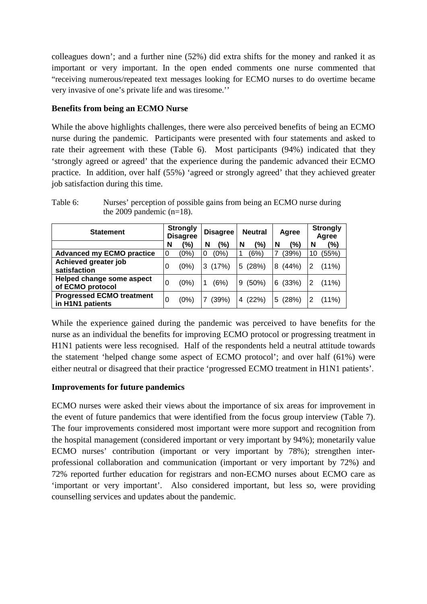colleagues down'; and a further nine (52%) did extra shifts for the money and ranked it as important or very important. In the open ended comments one nurse commented that "receiving numerous/repeated text messages looking for ECMO nurses to do overtime became very invasive of one's private life and was tiresome.''

## **Benefits from being an ECMO Nurse**

While the above highlights challenges, there were also perceived benefits of being an ECMO nurse during the pandemic. Participants were presented with four statements and asked to rate their agreement with these (Table 6). Most participants (94%) indicated that they 'strongly agreed or agreed' that the experience during the pandemic advanced their ECMO practice. In addition, over half (55%) 'agreed or strongly agreed' that they achieved greater job satisfaction during this time.

| <b>Statement</b>                                     | <b>Strongly</b><br><b>Disagree</b> |      | <b>Disagree</b> | <b>Neutral</b> | Agree      | <b>Strongly</b><br>Agree |  |  |
|------------------------------------------------------|------------------------------------|------|-----------------|----------------|------------|--------------------------|--|--|
|                                                      | N                                  | (%)  | (%)<br>N        | N<br>(%)       | (%)<br>N   | (%)<br>N                 |  |  |
| <b>Advanced my ECMO practice</b>                     | 0                                  | (0%) | (0%)<br>0       | (6%)<br>1      | (39%)      | (55%)<br>10              |  |  |
| Achieved greater job<br>satisfaction                 |                                    | (0%) | (17%)<br>3      | (28%)<br>5.    | (44%)<br>8 | 2<br>$(11\%)$            |  |  |
| Helped change some aspect<br>of ECMO protocol        | 0                                  | (0%) | (6%)            | (50%)<br>9     | (33%)<br>6 | $(11\%)$<br>2            |  |  |
| <b>Progressed ECMO treatment</b><br>in H1N1 patients | 0                                  | (0%) | (39%)           | (22%)<br>4     | (28%)<br>5 | $\overline{2}$<br>(11%)  |  |  |

Table 6: Nurses' perception of possible gains from being an ECMO nurse during the 2009 pandemic  $(n=18)$ .

While the experience gained during the pandemic was perceived to have benefits for the nurse as an individual the benefits for improving ECMO protocol or progressing treatment in H1N1 patients were less recognised. Half of the respondents held a neutral attitude towards the statement 'helped change some aspect of ECMO protocol'; and over half (61%) were either neutral or disagreed that their practice 'progressed ECMO treatment in H1N1 patients'.

#### **Improvements for future pandemics**

ECMO nurses were asked their views about the importance of six areas for improvement in the event of future pandemics that were identified from the focus group interview (Table 7). The four improvements considered most important were more support and recognition from the hospital management (considered important or very important by 94%); monetarily value ECMO nurses' contribution (important or very important by 78%); strengthen interprofessional collaboration and communication (important or very important by 72%) and 72% reported further education for registrars and non-ECMO nurses about ECMO care as 'important or very important'. Also considered important, but less so, were providing counselling services and updates about the pandemic.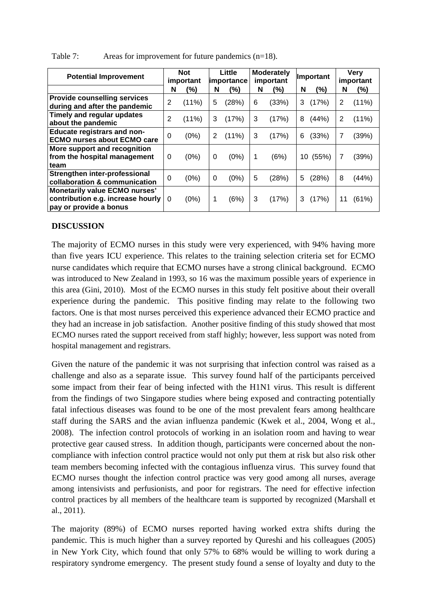| <b>Potential Improvement</b>                                                                 |          | <b>Not</b><br>important |          | Little<br><i>importance</i> |   | <b>Moderately</b><br>important |    | <b>Important</b> | <b>Verv</b><br>important |          |
|----------------------------------------------------------------------------------------------|----------|-------------------------|----------|-----------------------------|---|--------------------------------|----|------------------|--------------------------|----------|
|                                                                                              | N        | (%)                     | N        | (%)                         | N | $(\% )$                        | N  | (%)              | N                        | (%)      |
| <b>Provide counselling services</b><br>during and after the pandemic                         | 2        | $(11\%)$                | 5        | (28%)                       | 6 | (33%)                          | 3  | (17%)            | 2                        | (11%)    |
| <b>Timely and regular updates</b><br>about the pandemic                                      | 2        | $(11\%)$                | 3        | (17%)                       | 3 | (17%)                          | 8  | (44%)            | 2                        | $(11\%)$ |
| <b>Educate registrars and non-</b><br><b>ECMO nurses about ECMO care</b>                     | 0        | (0%)                    | 2        | $(11\%)$                    | 3 | (17%)                          | 6  | (33%)            | 7                        | (39%)    |
| More support and recognition<br>from the hospital management<br>team                         | 0        | (0%)                    | $\Omega$ | (0%)                        |   | (6%)                           | 10 | (55%)            | 7                        | (39%)    |
| Strengthen inter-professional<br>collaboration & communication                               | $\Omega$ | (0%)                    | $\Omega$ | (0%)                        | 5 | (28%)                          | 5  | (28%)            | 8                        | (44%)    |
| Monetarily value ECMO nurses'<br>contribution e.g. increase hourly<br>pay or provide a bonus | 0        | (0%)                    | 1        | (6%)                        | 3 | (17%)                          | 3  | (17%)            | 11                       | (61%)    |

Table 7: Areas for improvement for future pandemics (n=18).

#### **DISCUSSION**

The majority of ECMO nurses in this study were very experienced, with 94% having more than five years ICU experience. This relates to the training selection criteria set for ECMO nurse candidates which require that ECMO nurses have a strong clinical background. ECMO was introduced to New Zealand in 1993, so 16 was the maximum possible years of experience in this area (Gini, 2010). Most of the ECMO nurses in this study felt positive about their overall experience during the pandemic. This positive finding may relate to the following two factors. One is that most nurses perceived this experience advanced their ECMO practice and they had an increase in job satisfaction. Another positive finding of this study showed that most ECMO nurses rated the support received from staff highly; however, less support was noted from hospital management and registrars.

Given the nature of the pandemic it was not surprising that infection control was raised as a challenge and also as a separate issue. This survey found half of the participants perceived some impact from their fear of being infected with the H1N1 virus. This result is different from the findings of two Singapore studies where being exposed and contracting potentially fatal infectious diseases was found to be one of the most prevalent fears among healthcare staff during the SARS and the avian influenza pandemic (Kwek et al., 2004, Wong et al., 2008). The infection control protocols of working in an isolation room and having to wear protective gear caused stress. In addition though, participants were concerned about the noncompliance with infection control practice would not only put them at risk but also risk other team members becoming infected with the contagious influenza virus. This survey found that ECMO nurses thought the infection control practice was very good among all nurses, average among intensivists and perfusionists, and poor for registrars. The need for effective infection control practices by all members of the healthcare team is supported by recognized (Marshall et al., 2011).

The majority (89%) of ECMO nurses reported having worked extra shifts during the pandemic. This is much higher than a survey reported by Qureshi and his colleagues (2005) in New York City, which found that only 57% to 68% would be willing to work during a respiratory syndrome emergency. The present study found a sense of loyalty and duty to the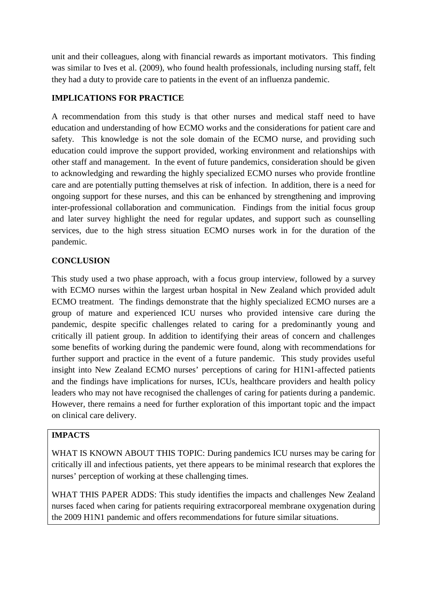unit and their colleagues, along with financial rewards as important motivators. This finding was similar to Ives et al. (2009), who found health professionals, including nursing staff, felt they had a duty to provide care to patients in the event of an influenza pandemic.

# **IMPLICATIONS FOR PRACTICE**

A recommendation from this study is that other nurses and medical staff need to have education and understanding of how ECMO works and the considerations for patient care and safety. This knowledge is not the sole domain of the ECMO nurse, and providing such education could improve the support provided, working environment and relationships with other staff and management. In the event of future pandemics, consideration should be given to acknowledging and rewarding the highly specialized ECMO nurses who provide frontline care and are potentially putting themselves at risk of infection. In addition, there is a need for ongoing support for these nurses, and this can be enhanced by strengthening and improving inter-professional collaboration and communication. Findings from the initial focus group and later survey highlight the need for regular updates, and support such as counselling services, due to the high stress situation ECMO nurses work in for the duration of the pandemic.

## **CONCLUSION**

This study used a two phase approach, with a focus group interview, followed by a survey with ECMO nurses within the largest urban hospital in New Zealand which provided adult ECMO treatment. The findings demonstrate that the highly specialized ECMO nurses are a group of mature and experienced ICU nurses who provided intensive care during the pandemic, despite specific challenges related to caring for a predominantly young and critically ill patient group. In addition to identifying their areas of concern and challenges some benefits of working during the pandemic were found, along with recommendations for further support and practice in the event of a future pandemic. This study provides useful insight into New Zealand ECMO nurses' perceptions of caring for H1N1-affected patients and the findings have implications for nurses, ICUs, healthcare providers and health policy leaders who may not have recognised the challenges of caring for patients during a pandemic. However, there remains a need for further exploration of this important topic and the impact on clinical care delivery.

## **IMPACTS**

WHAT IS KNOWN ABOUT THIS TOPIC: During pandemics ICU nurses may be caring for critically ill and infectious patients, yet there appears to be minimal research that explores the nurses' perception of working at these challenging times.

WHAT THIS PAPER ADDS: This study identifies the impacts and challenges New Zealand nurses faced when caring for patients requiring extracorporeal membrane oxygenation during the 2009 H1N1 pandemic and offers recommendations for future similar situations.